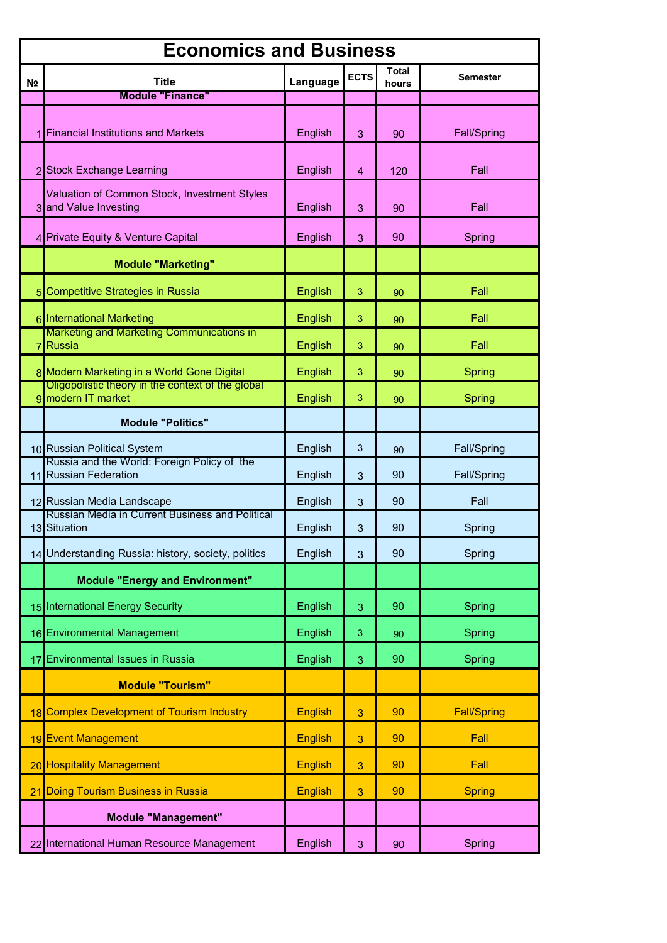| <b>Economics and Business</b> |                                                                                                 |                |                         |                       |                    |  |  |
|-------------------------------|-------------------------------------------------------------------------------------------------|----------------|-------------------------|-----------------------|--------------------|--|--|
| N <sub>2</sub>                | <b>Title</b>                                                                                    | Language       | <b>ECTS</b>             | <b>Total</b><br>hours | Semester           |  |  |
|                               | <b>Module "Finance"</b>                                                                         |                |                         |                       |                    |  |  |
|                               | <b>Financial Institutions and Markets</b>                                                       | English        | 3                       | 90                    | Fall/Spring        |  |  |
|                               | 2 Stock Exchange Learning                                                                       | English        | $\overline{\mathbf{4}}$ | 120                   | Fall               |  |  |
|                               | Valuation of Common Stock, Investment Styles<br>3 and Value Investing                           | English        | 3                       | 90                    | Fall               |  |  |
|                               | 4 Private Equity & Venture Capital                                                              | English        | 3                       | 90                    | Spring             |  |  |
|                               | <b>Module "Marketing"</b>                                                                       |                |                         |                       |                    |  |  |
|                               | 5 Competitive Strategies in Russia                                                              | English        | 3                       | 90                    | Fall               |  |  |
|                               | 6 International Marketing                                                                       | English        | 3                       | 90                    | Fall               |  |  |
|                               | Marketing and Marketing Communications in<br>7 Russia                                           | English        | 3                       | 90                    | Fall               |  |  |
|                               | 8 Modern Marketing in a World Gone Digital<br>Oligopolistic theory in the context of the global | English        | 3                       | 90                    | <b>Spring</b>      |  |  |
|                               | 9 modern IT market                                                                              | English        | 3                       | 90                    | Spring             |  |  |
|                               | <b>Module "Politics"</b>                                                                        |                |                         |                       |                    |  |  |
|                               | 10 Russian Political System                                                                     | English        | $\mathbf{3}$            | 90                    | Fall/Spring        |  |  |
|                               | Russia and the World: Foreign Policy of the<br>11 Russian Federation                            | English        | 3                       | 90                    | Fall/Spring        |  |  |
|                               | 12 Russian Media Landscape                                                                      | English        | 3                       | 90                    | Fall               |  |  |
|                               | Russian Media in Current Business and Political<br>13 Situation                                 | English        | 3                       | 90                    | Spring             |  |  |
|                               | 14 Understanding Russia: history, society, politics                                             | English        | 3                       | 90                    | Spring             |  |  |
|                               | <b>Module "Energy and Environment"</b>                                                          |                |                         |                       |                    |  |  |
|                               | 15 International Energy Security                                                                | English        | 3                       | 90                    | Spring             |  |  |
|                               | 16 Environmental Management                                                                     | English        | 3                       | 90                    | Spring             |  |  |
| 17                            | <b>Environmental Issues in Russia</b>                                                           | English        | 3                       | 90                    | Spring             |  |  |
|                               | <b>Module "Tourism"</b>                                                                         |                |                         |                       |                    |  |  |
| 18                            | <b>Complex Development of Tourism Industry</b>                                                  | <b>English</b> | 3                       | 90                    | <b>Fall/Spring</b> |  |  |
|                               | 19 Event Management                                                                             | <b>English</b> | 3                       | 90                    | Fall               |  |  |
|                               | 20 Hospitality Management                                                                       | <b>English</b> | 3                       | 90                    | Fall               |  |  |
| 21                            | Doing Tourism Business in Russia                                                                | <b>English</b> | 3                       | 90                    | <b>Spring</b>      |  |  |
|                               | <b>Module "Management"</b>                                                                      |                |                         |                       |                    |  |  |
|                               | 22 International Human Resource Management                                                      | English        | 3                       | 90                    | Spring             |  |  |